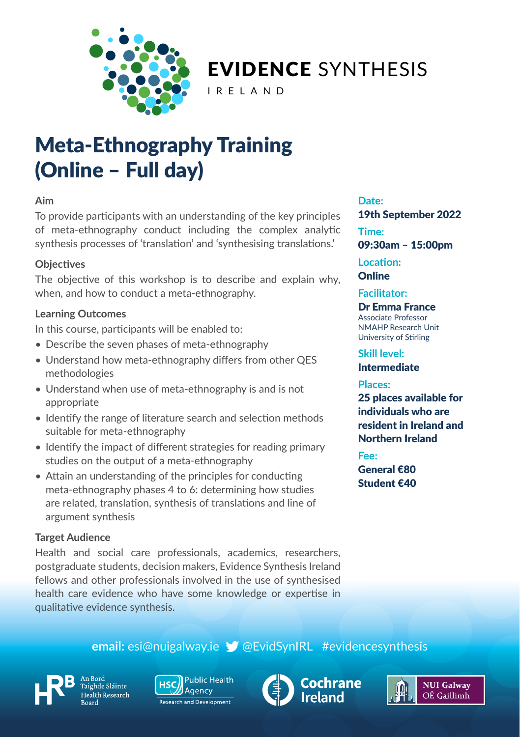

## EVIDENCE SYNTHESIS

IRELAND

# Meta-Ethnography Training (Online – Full day)

#### **Aim**

To provide participants with an understanding of the key principles of meta-ethnography conduct including the complex analytic synthesis processes of 'translation' and 'synthesising translations.'

#### **Objectives**

The objective of this workshop is to describe and explain why. when, and how to conduct a meta-ethnography.

### **Learning Outcomes**

In this course, participants will be enabled to:

- Describe the seven phases of meta-ethnography
- Understand how meta-ethnography differs from other QES methodologies
- Understand when use of meta-ethnography is and is not appropriate
- Identify the range of literature search and selection methods suitable for meta-ethnography
- Identify the impact of different strategies for reading primary studies on the output of a meta-ethnography
- Attain an understanding of the principles for conducting meta-ethnography phases 4 to 6: determining how studies are related, translation, synthesis of translations and line of argument synthesis

#### **Target Audience**

Health and social care professionals, academics, researchers, postgraduate students, decision makers, Evidence Synthesis Ireland fellows and other professionals involved in the use of synthesised health care evidence who have some knowledge or expertise in qualitative evidence synthesis.

#### Date:

### 19th September 2022

**Time:**  09:30am – 15:00pm

**Location:**  Online

## **Facilitator:**

Dr Emma France Associate Professor NMAHP Research Unit University of Stirling

#### **Skill level:**

Intermediate

#### **Places:**

25 places available for individuals who are resident in Ireland and Northern Ireland

**Fee:** 

General €80 Student €40

## **email:** esi@nuigalway.ie  $\bullet$  @EvidSynIRL #evidencesynthesis



**Paighde Sláinte** Health Research

**Public Health HSC** Agency **Research and Development**